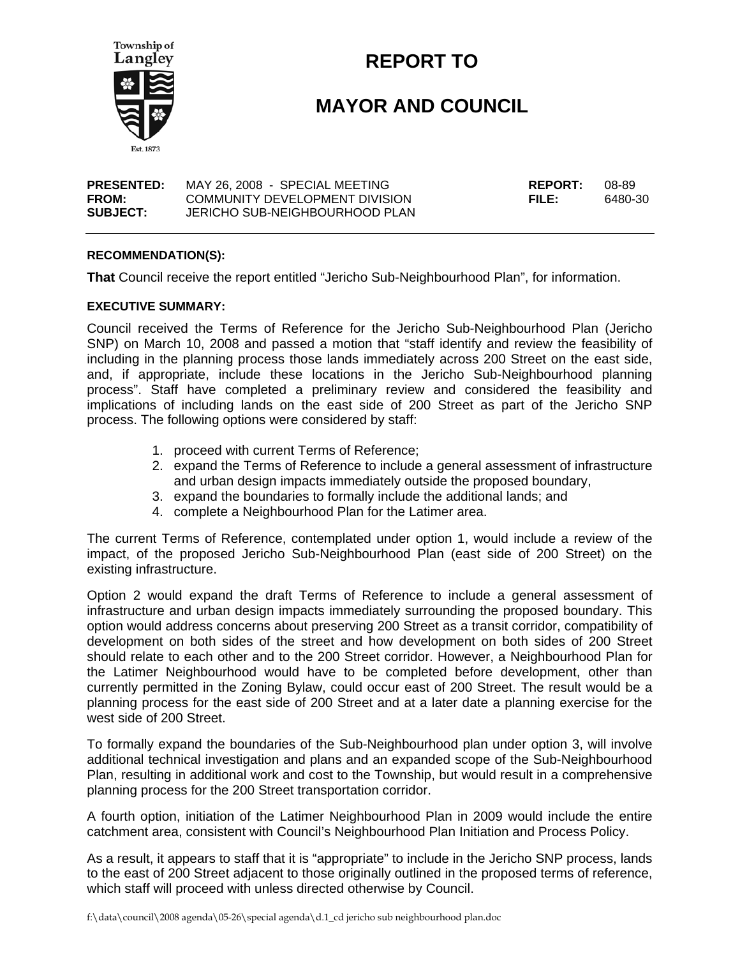

# **REPORT TO**

# **MAYOR AND COUNCIL**

| <b>PRESENTED:</b> | MAY 26, 2008 - SPECIAL MEETING | <b>REPORT:</b> | 08-89   |
|-------------------|--------------------------------|----------------|---------|
| FROM:             | COMMUNITY DEVELOPMENT DIVISION | FILE:          | 6480-30 |
| <b>SUBJECT:</b>   | JERICHO SUB-NEIGHBOURHOOD PLAN |                |         |

#### **RECOMMENDATION(S):**

**That** Council receive the report entitled "Jericho Sub-Neighbourhood Plan", for information.

#### **EXECUTIVE SUMMARY:**

Council received the Terms of Reference for the Jericho Sub-Neighbourhood Plan (Jericho SNP) on March 10, 2008 and passed a motion that "staff identify and review the feasibility of including in the planning process those lands immediately across 200 Street on the east side, and, if appropriate, include these locations in the Jericho Sub-Neighbourhood planning process". Staff have completed a preliminary review and considered the feasibility and implications of including lands on the east side of 200 Street as part of the Jericho SNP process. The following options were considered by staff:

- 1. proceed with current Terms of Reference;
- 2. expand the Terms of Reference to include a general assessment of infrastructure and urban design impacts immediately outside the proposed boundary,
- 3. expand the boundaries to formally include the additional lands; and
- 4. complete a Neighbourhood Plan for the Latimer area.

The current Terms of Reference, contemplated under option 1, would include a review of the impact, of the proposed Jericho Sub-Neighbourhood Plan (east side of 200 Street) on the existing infrastructure.

Option 2 would expand the draft Terms of Reference to include a general assessment of infrastructure and urban design impacts immediately surrounding the proposed boundary. This option would address concerns about preserving 200 Street as a transit corridor, compatibility of development on both sides of the street and how development on both sides of 200 Street should relate to each other and to the 200 Street corridor. However, a Neighbourhood Plan for the Latimer Neighbourhood would have to be completed before development, other than currently permitted in the Zoning Bylaw, could occur east of 200 Street. The result would be a planning process for the east side of 200 Street and at a later date a planning exercise for the west side of 200 Street.

To formally expand the boundaries of the Sub-Neighbourhood plan under option 3, will involve additional technical investigation and plans and an expanded scope of the Sub-Neighbourhood Plan, resulting in additional work and cost to the Township, but would result in a comprehensive planning process for the 200 Street transportation corridor.

A fourth option, initiation of the Latimer Neighbourhood Plan in 2009 would include the entire catchment area, consistent with Council's Neighbourhood Plan Initiation and Process Policy.

As a result, it appears to staff that it is "appropriate" to include in the Jericho SNP process, lands to the east of 200 Street adjacent to those originally outlined in the proposed terms of reference, which staff will proceed with unless directed otherwise by Council.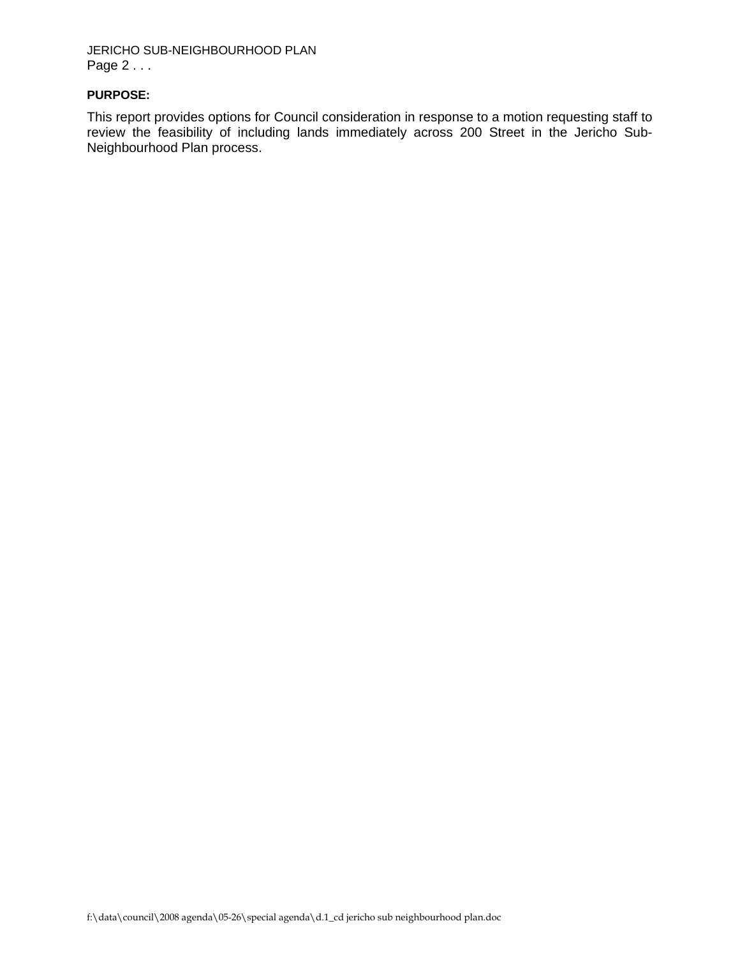JERICHO SUB-NEIGHBOURHOOD PLAN Page 2 . . .

#### **PURPOSE:**

This report provides options for Council consideration in response to a motion requesting staff to review the feasibility of including lands immediately across 200 Street in the Jericho Sub-Neighbourhood Plan process.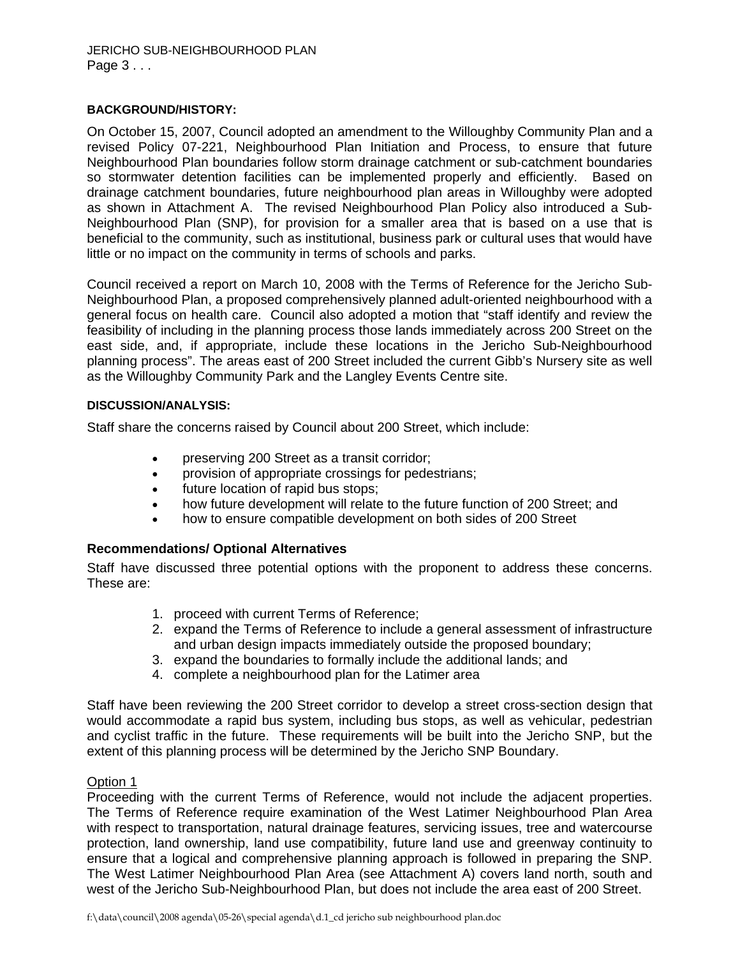## **BACKGROUND/HISTORY:**

On October 15, 2007, Council adopted an amendment to the Willoughby Community Plan and a revised Policy 07-221, Neighbourhood Plan Initiation and Process, to ensure that future Neighbourhood Plan boundaries follow storm drainage catchment or sub-catchment boundaries so stormwater detention facilities can be implemented properly and efficiently. Based on drainage catchment boundaries, future neighbourhood plan areas in Willoughby were adopted as shown in Attachment A. The revised Neighbourhood Plan Policy also introduced a Sub-Neighbourhood Plan (SNP), for provision for a smaller area that is based on a use that is beneficial to the community, such as institutional, business park or cultural uses that would have little or no impact on the community in terms of schools and parks.

Council received a report on March 10, 2008 with the Terms of Reference for the Jericho Sub-Neighbourhood Plan, a proposed comprehensively planned adult-oriented neighbourhood with a general focus on health care. Council also adopted a motion that "staff identify and review the feasibility of including in the planning process those lands immediately across 200 Street on the east side, and, if appropriate, include these locations in the Jericho Sub-Neighbourhood planning process". The areas east of 200 Street included the current Gibb's Nursery site as well as the Willoughby Community Park and the Langley Events Centre site.

## **DISCUSSION/ANALYSIS:**

Staff share the concerns raised by Council about 200 Street, which include:

- preserving 200 Street as a transit corridor;
- provision of appropriate crossings for pedestrians;
- future location of rapid bus stops;
- how future development will relate to the future function of 200 Street; and
- how to ensure compatible development on both sides of 200 Street

## **Recommendations/ Optional Alternatives**

Staff have discussed three potential options with the proponent to address these concerns. These are:

- 1. proceed with current Terms of Reference;
- 2. expand the Terms of Reference to include a general assessment of infrastructure and urban design impacts immediately outside the proposed boundary;
- 3. expand the boundaries to formally include the additional lands; and
- 4. complete a neighbourhood plan for the Latimer area

Staff have been reviewing the 200 Street corridor to develop a street cross-section design that would accommodate a rapid bus system, including bus stops, as well as vehicular, pedestrian and cyclist traffic in the future. These requirements will be built into the Jericho SNP, but the extent of this planning process will be determined by the Jericho SNP Boundary.

## Option 1

Proceeding with the current Terms of Reference, would not include the adjacent properties. The Terms of Reference require examination of the West Latimer Neighbourhood Plan Area with respect to transportation, natural drainage features, servicing issues, tree and watercourse protection, land ownership, land use compatibility, future land use and greenway continuity to ensure that a logical and comprehensive planning approach is followed in preparing the SNP. The West Latimer Neighbourhood Plan Area (see Attachment A) covers land north, south and west of the Jericho Sub-Neighbourhood Plan, but does not include the area east of 200 Street.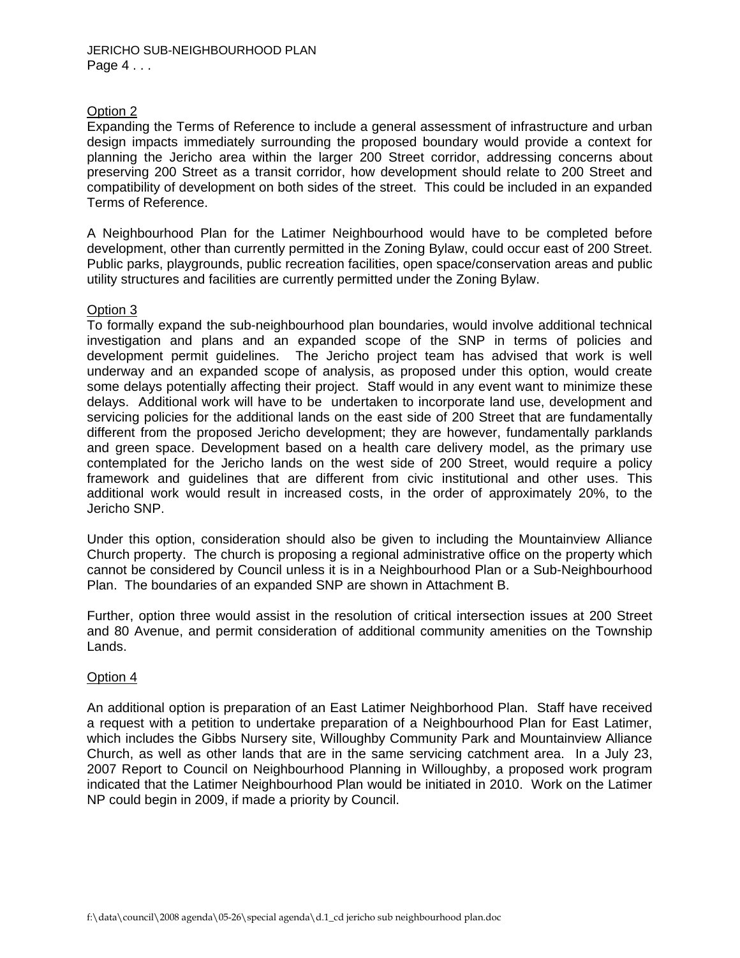## Option 2

Expanding the Terms of Reference to include a general assessment of infrastructure and urban design impacts immediately surrounding the proposed boundary would provide a context for planning the Jericho area within the larger 200 Street corridor, addressing concerns about preserving 200 Street as a transit corridor, how development should relate to 200 Street and compatibility of development on both sides of the street. This could be included in an expanded Terms of Reference.

A Neighbourhood Plan for the Latimer Neighbourhood would have to be completed before development, other than currently permitted in the Zoning Bylaw, could occur east of 200 Street. Public parks, playgrounds, public recreation facilities, open space/conservation areas and public utility structures and facilities are currently permitted under the Zoning Bylaw.

## Option 3

To formally expand the sub-neighbourhood plan boundaries, would involve additional technical investigation and plans and an expanded scope of the SNP in terms of policies and development permit guidelines. The Jericho project team has advised that work is well underway and an expanded scope of analysis, as proposed under this option, would create some delays potentially affecting their project. Staff would in any event want to minimize these delays. Additional work will have to be undertaken to incorporate land use, development and servicing policies for the additional lands on the east side of 200 Street that are fundamentally different from the proposed Jericho development; they are however, fundamentally parklands and green space. Development based on a health care delivery model, as the primary use contemplated for the Jericho lands on the west side of 200 Street, would require a policy framework and guidelines that are different from civic institutional and other uses. This additional work would result in increased costs, in the order of approximately 20%, to the Jericho SNP.

Under this option, consideration should also be given to including the Mountainview Alliance Church property. The church is proposing a regional administrative office on the property which cannot be considered by Council unless it is in a Neighbourhood Plan or a Sub-Neighbourhood Plan. The boundaries of an expanded SNP are shown in Attachment B.

Further, option three would assist in the resolution of critical intersection issues at 200 Street and 80 Avenue, and permit consideration of additional community amenities on the Township Lands.

## Option 4

An additional option is preparation of an East Latimer Neighborhood Plan. Staff have received a request with a petition to undertake preparation of a Neighbourhood Plan for East Latimer, which includes the Gibbs Nursery site, Willoughby Community Park and Mountainview Alliance Church, as well as other lands that are in the same servicing catchment area. In a July 23, 2007 Report to Council on Neighbourhood Planning in Willoughby, a proposed work program indicated that the Latimer Neighbourhood Plan would be initiated in 2010. Work on the Latimer NP could begin in 2009, if made a priority by Council.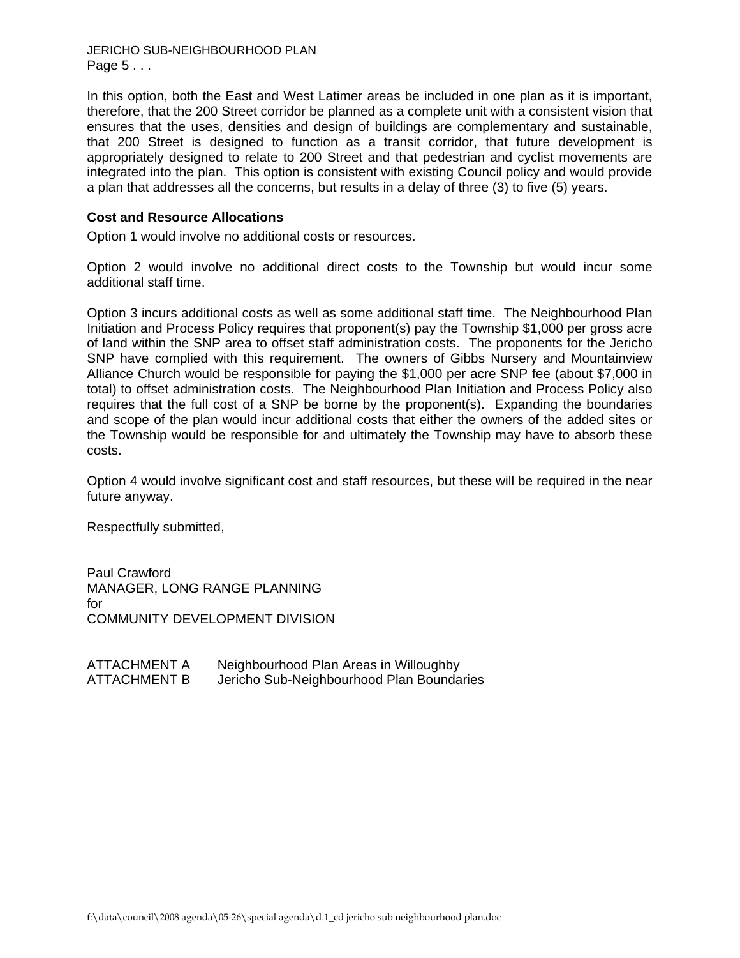JERICHO SUB-NEIGHBOURHOOD PLAN Page 5 . . .

In this option, both the East and West Latimer areas be included in one plan as it is important, therefore, that the 200 Street corridor be planned as a complete unit with a consistent vision that ensures that the uses, densities and design of buildings are complementary and sustainable, that 200 Street is designed to function as a transit corridor, that future development is appropriately designed to relate to 200 Street and that pedestrian and cyclist movements are integrated into the plan. This option is consistent with existing Council policy and would provide a plan that addresses all the concerns, but results in a delay of three (3) to five (5) years.

## **Cost and Resource Allocations**

Option 1 would involve no additional costs or resources.

Option 2 would involve no additional direct costs to the Township but would incur some additional staff time.

Option 3 incurs additional costs as well as some additional staff time. The Neighbourhood Plan Initiation and Process Policy requires that proponent(s) pay the Township \$1,000 per gross acre of land within the SNP area to offset staff administration costs. The proponents for the Jericho SNP have complied with this requirement. The owners of Gibbs Nursery and Mountainview Alliance Church would be responsible for paying the \$1,000 per acre SNP fee (about \$7,000 in total) to offset administration costs. The Neighbourhood Plan Initiation and Process Policy also requires that the full cost of a SNP be borne by the proponent(s). Expanding the boundaries and scope of the plan would incur additional costs that either the owners of the added sites or the Township would be responsible for and ultimately the Township may have to absorb these costs.

Option 4 would involve significant cost and staff resources, but these will be required in the near future anyway.

Respectfully submitted,

Paul Crawford MANAGER, LONG RANGE PLANNING for COMMUNITY DEVELOPMENT DIVISION

| <b>ATTACHMENT A</b> | Neighbourhood Plan Areas in Willoughby    |
|---------------------|-------------------------------------------|
| <b>ATTACHMENT B</b> | Jericho Sub-Neighbourhood Plan Boundaries |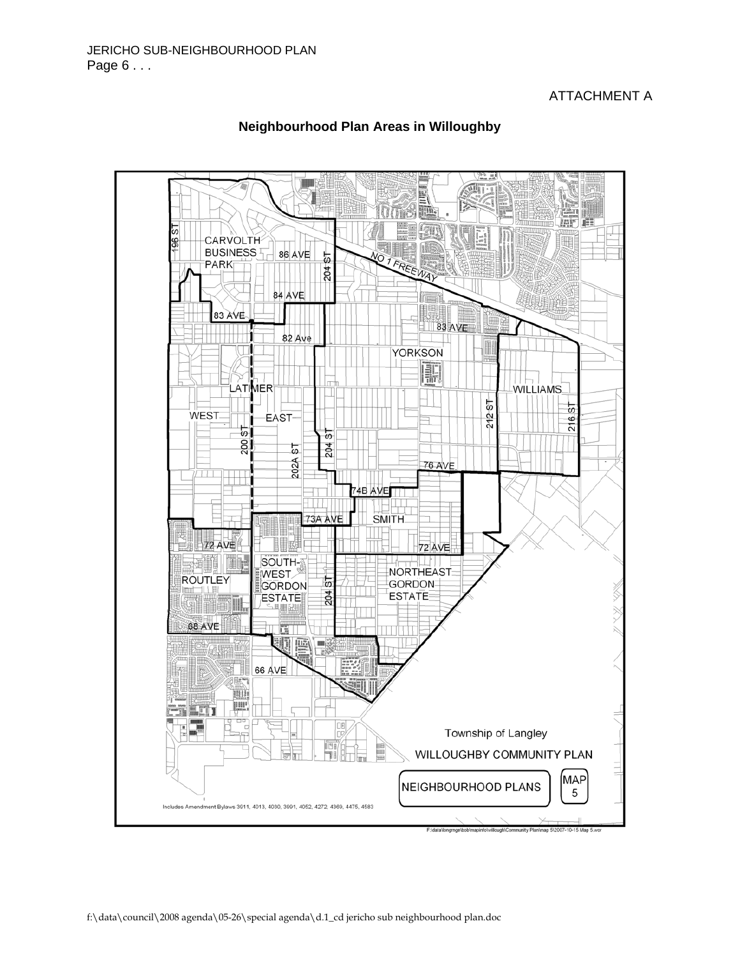## ATTACHMENT A



## **Neighbourhood Plan Areas in Willoughby**